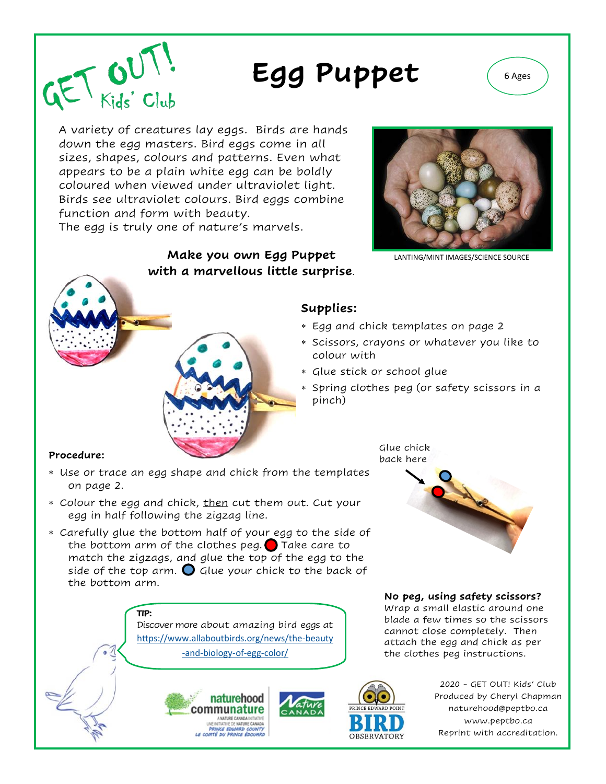

A variety of creatures lay eggs. Birds are hands down the egg masters. Bird eggs come in all sizes, shapes, colours and patterns. Even what appears to be a plain white egg can be boldly coloured when viewed under ultraviolet light. Birds see ultraviolet colours. Bird eggs combine function and form with beauty.

The egg is truly one of nature's marvels.

### **Make you own Egg Puppet** LANTING/MINT IMAGES/SCIENCE SOURCE **with a marvellous little surprise**.



## **Supplies:**

- Egg and chick templates on page 2
- Scissors, crayons or whatever you like to colour with
- Glue stick or school glue
- Spring clothes peg (or safety scissors in a pinch)

#### **Procedure:**

 $GET$   $GUT$ 

- Use or trace an egg shape and chick from the templates on page 2.
- \* Colour the egg and chick, then cut them out. Cut your egg in half following the zigzag line.
- Carefully glue the bottom half of your egg to the side of the bottom arm of the clothes peg.  $\bigcirc$  Take care to match the zigzags, and glue the top of the egg to the side of the top arm.  $\bigcirc$  Glue your chick to the back of the bottom arm.

**TIP:**  Discover more about amazing bird eggs at [https://www.allaboutbirds.org/news/the](https://www.allaboutbirds.org/news/the-beauty-and-biology-of-egg-color/)-beauty

-and-[biology](https://www.allaboutbirds.org/news/the-beauty-and-biology-of-egg-color/)-of-egg-color/





2020 - GET OUT! Kids' Club Produced by Cheryl Chapman naturehood@peptbo.ca www.peptbo.ca Reprint with accreditation.

Glue chick back here



#### **No peg, using safety scissors?**

Wrap a small elastic around one blade a few times so the scissors cannot close completely. Then attach the egg and chick as per the clothes peg instructions.